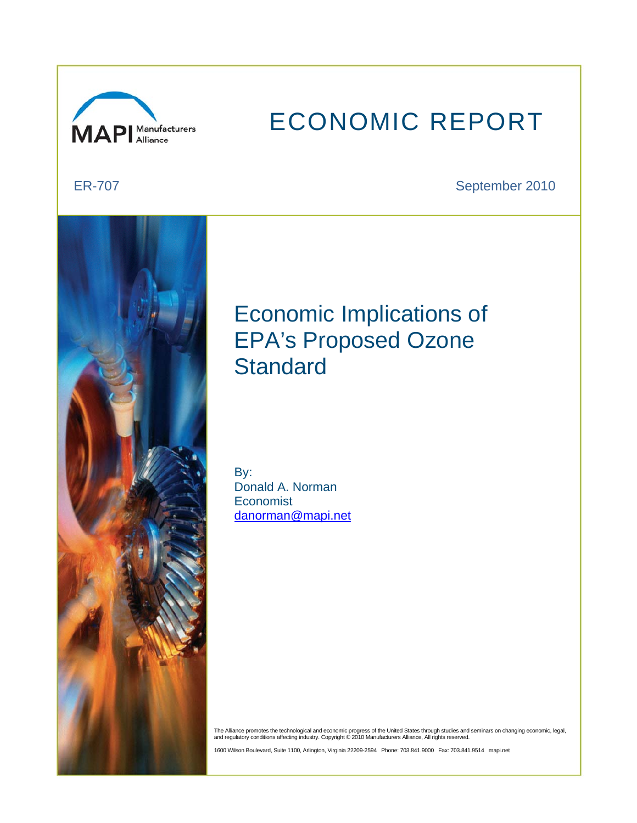

# ECONOMIC REPORT

ER-707 September 2010



## Economic Implications of EPA's Proposed Ozone **Standard**

By: Donald A. Norman **Economist** danorman@mapi.net

The Alliance promotes the technological and economic progress of the United States through studies and seminars on changing economic, legal,<br>and regulatory conditions affecting industry. Copyright © 2010 Manufacturers Alli

1600 Wilson Boulevard, Suite 1100, Arlington, Virginia 22209-2594 Phone: 703.841.9000 Fax: 703.841.9514 mapi.net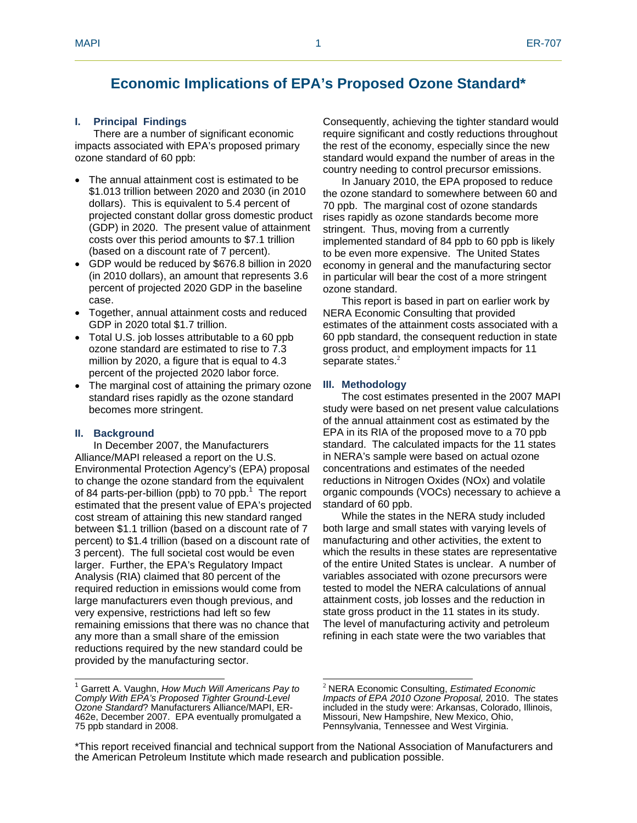### **Economic Implications of EPA's Proposed Ozone Standard\***

#### **I. Principal Findings**

There are a number of significant economic impacts associated with EPA's proposed primary ozone standard of 60 ppb:

- The annual attainment cost is estimated to be \$1.013 trillion between 2020 and 2030 (in 2010 dollars). This is equivalent to 5.4 percent of projected constant dollar gross domestic product (GDP) in 2020. The present value of attainment costs over this period amounts to \$7.1 trillion (based on a discount rate of 7 percent).
- GDP would be reduced by \$676.8 billion in 2020 (in 2010 dollars), an amount that represents 3.6 percent of projected 2020 GDP in the baseline case.
- Together, annual attainment costs and reduced GDP in 2020 total \$1.7 trillion.
- Total U.S. job losses attributable to a 60 ppb ozone standard are estimated to rise to 7.3 million by 2020, a figure that is equal to 4.3 percent of the projected 2020 labor force.
- The marginal cost of attaining the primary ozone standard rises rapidly as the ozone standard becomes more stringent.

#### **II. Background**

In December 2007, the Manufacturers Alliance/MAPI released a report on the U.S. Environmental Protection Agency's (EPA) proposal to change the ozone standard from the equivalent of 84 parts-per-billion (ppb) to 70 ppb. $<sup>1</sup>$  The report</sup> estimated that the present value of EPA's projected cost stream of attaining this new standard ranged between \$1.1 trillion (based on a discount rate of 7 percent) to \$1.4 trillion (based on a discount rate of 3 percent). The full societal cost would be even larger. Further, the EPA's Regulatory Impact Analysis (RIA) claimed that 80 percent of the required reduction in emissions would come from large manufacturers even though previous, and very expensive, restrictions had left so few remaining emissions that there was no chance that any more than a small share of the emission reductions required by the new standard could be provided by the manufacturing sector.

Consequently, achieving the tighter standard would require significant and costly reductions throughout the rest of the economy, especially since the new standard would expand the number of areas in the country needing to control precursor emissions.

In January 2010, the EPA proposed to reduce the ozone standard to somewhere between 60 and 70 ppb. The marginal cost of ozone standards rises rapidly as ozone standards become more stringent. Thus, moving from a currently implemented standard of 84 ppb to 60 ppb is likely to be even more expensive. The United States economy in general and the manufacturing sector in particular will bear the cost of a more stringent ozone standard.

This report is based in part on earlier work by NERA Economic Consulting that provided estimates of the attainment costs associated with a 60 ppb standard, the consequent reduction in state gross product, and employment impacts for 11 separate states.<sup>2</sup>

#### **III. Methodology**

The cost estimates presented in the 2007 MAPI study were based on net present value calculations of the annual attainment cost as estimated by the EPA in its RIA of the proposed move to a 70 ppb standard. The calculated impacts for the 11 states in NERA's sample were based on actual ozone concentrations and estimates of the needed reductions in Nitrogen Oxides (NOx) and volatile organic compounds (VOCs) necessary to achieve a standard of 60 ppb.

While the states in the NERA study included both large and small states with varying levels of manufacturing and other activities, the extent to which the results in these states are representative of the entire United States is unclear. A number of variables associated with ozone precursors were tested to model the NERA calculations of annual attainment costs, job losses and the reduction in state gross product in the 11 states in its study. The level of manufacturing activity and petroleum refining in each state were the two variables that

 $\overline{a}$  and  $\overline{a}$  and  $\overline{a}$  and  $\overline{a}$  and  $\overline{a}$  and  $\overline{a}$  and  $\overline{a}$  and  $\overline{a}$  and  $\overline{a}$  and  $\overline{a}$  and  $\overline{a}$  and  $\overline{a}$  and  $\overline{a}$  and  $\overline{a}$  and  $\overline{a}$  and  $\overline{a}$  and  $\overline{a}$  and 1 Garrett A. Vaughn, *How Much Will Americans Pay to Comply With EPA's Proposed Tighter Ground-Level Ozone Standard*? Manufacturers Alliance/MAPI, ER-462e, December 2007. EPA eventually promulgated a 75 ppb standard in 2008.

 $\overline{a}$ <sup>2</sup> NERA Economic Consulting, *Estimated Economic Impacts of EPA 2010 Ozone Proposal,* 2010. The states included in the study were: Arkansas, Colorado, Illinois, Missouri, New Hampshire, New Mexico, Ohio, Pennsylvania, Tennessee and West Virginia.

<sup>\*</sup>This report received financial and technical support from the National Association of Manufacturers and the American Petroleum Institute which made research and publication possible.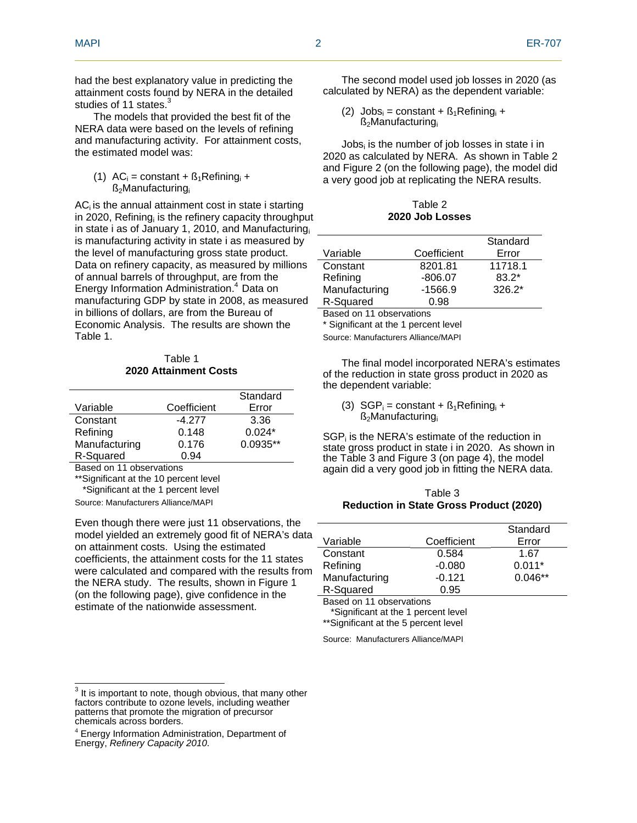had the best explanatory value in predicting the attainment costs found by NERA in the detailed studies of 11 states.<sup>3</sup>

The models that provided the best fit of the NERA data were based on the levels of refining and manufacturing activity. For attainment costs, the estimated model was:

#### (1)  $AC_i$  = constant +  $B_1$ Refining<sub>i</sub> + ß2Manufacturingi

 $AC<sub>i</sub>$  is the annual attainment cost in state i starting in 2020, Refining<sub>i</sub> is the refinery capacity throughput in state i as of January 1, 2010, and Manufacturing is manufacturing activity in state i as measured by the level of manufacturing gross state product. Data on refinery capacity, as measured by millions of annual barrels of throughput, are from the Energy Information Administration.<sup>4</sup> Data on manufacturing GDP by state in 2008, as measured in billions of dollars, are from the Bureau of Economic Analysis. The results are shown the Table 1.

#### Table 1 **2020 Attainment Costs**

|               |             | Standard   |
|---------------|-------------|------------|
| Variable      | Coefficient | Error      |
| Constant      | $-4.277$    | 3.36       |
| Refining      | 0.148       | $0.024*$   |
| Manufacturing | 0.176       | $0.0935**$ |
| R-Squared     | 0.94        |            |

Based on 11 observations

\*\*Significant at the 10 percent level

\*Significant at the 1 percent level

Source: Manufacturers Alliance/MAPI

Even though there were just 11 observations, the model yielded an extremely good fit of NERA's data on attainment costs. Using the estimated coefficients, the attainment costs for the 11 states were calculated and compared with the results from the NERA study. The results, shown in Figure 1 (on the following page), give confidence in the estimate of the nationwide assessment.

The second model used job losses in 2020 (as calculated by NERA) as the dependent variable:

(2)  $Jobs_i = constant + B_1Refining_i +$  $\beta_2$ Manufacturing

Jobs<sub>i</sub> is the number of job losses in state i in 2020 as calculated by NERA. As shown in Table 2 and Figure 2 (on the following page), the model did a very good job at replicating the NERA results.

Table 2 **2020 Job Losses** 

|               |             | Standard |
|---------------|-------------|----------|
| Variable      | Coefficient | Error    |
| Constant      | 8201.81     | 11718.1  |
| Refining      | $-806.07$   | $83.2*$  |
| Manufacturing | $-1566.9$   | $326.2*$ |
| R-Squared     | 0.98        |          |
|               |             |          |

Based on 11 observations

\* Significant at the 1 percent level

Source: Manufacturers Alliance/MAPI

The final model incorporated NERA's estimates of the reduction in state gross product in 2020 as the dependent variable:

(3)  $SGP_i = constant + B_1Refining_i +$  $\beta_2$ Manufacturing

SGP<sub>i</sub> is the NERA's estimate of the reduction in state gross product in state i in 2020. As shown in the Table 3 and Figure 3 (on page 4), the model again did a very good job in fitting the NERA data.

#### Table 3 **Reduction in State Gross Product (2020)**

|               |             | Standard  |
|---------------|-------------|-----------|
| Variable      | Coefficient | Error     |
| Constant      | 0.584       | 1.67      |
| Refining      | $-0.080$    | $0.011*$  |
| Manufacturing | $-0.121$    | $0.046**$ |
| R-Squared     | 0.95        |           |

Based on 11 observations

 \*Significant at the 1 percent level \*\*Significant at the 5 percent level

Source: Manufacturers Alliance/MAPI

 $\frac{3}{3}$  It is important to note, though obvious, that many other factors contribute to ozone levels, including weather patterns that promote the migration of precursor chemicals across borders.

<sup>4</sup> Energy Information Administration, Department of Energy, *Refinery Capacity 2010*.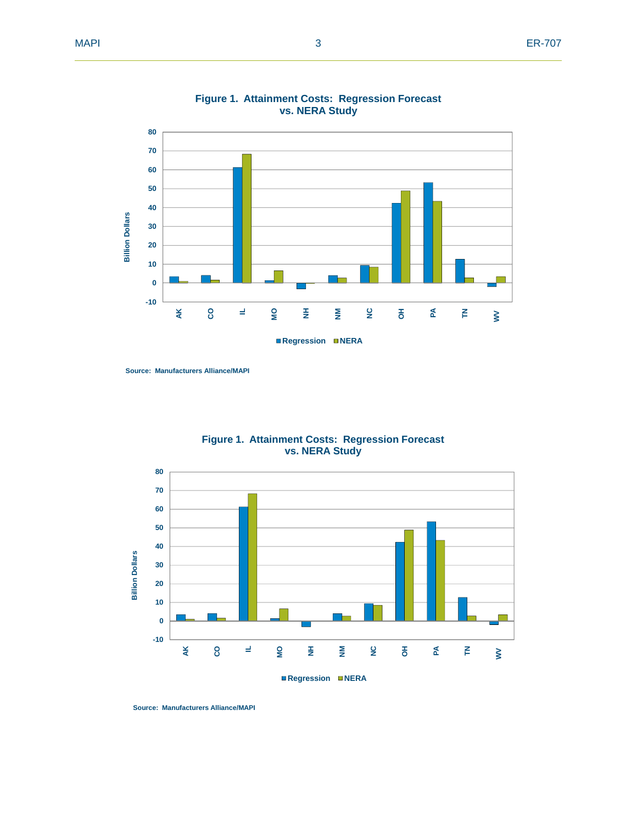



**Source: Manufacturers Alliance/MAPI**



**Figure 1. Attainment Costs: Regression Forecast vs. NERA Study**

**Source: Manufacturers Alliance/MAPI**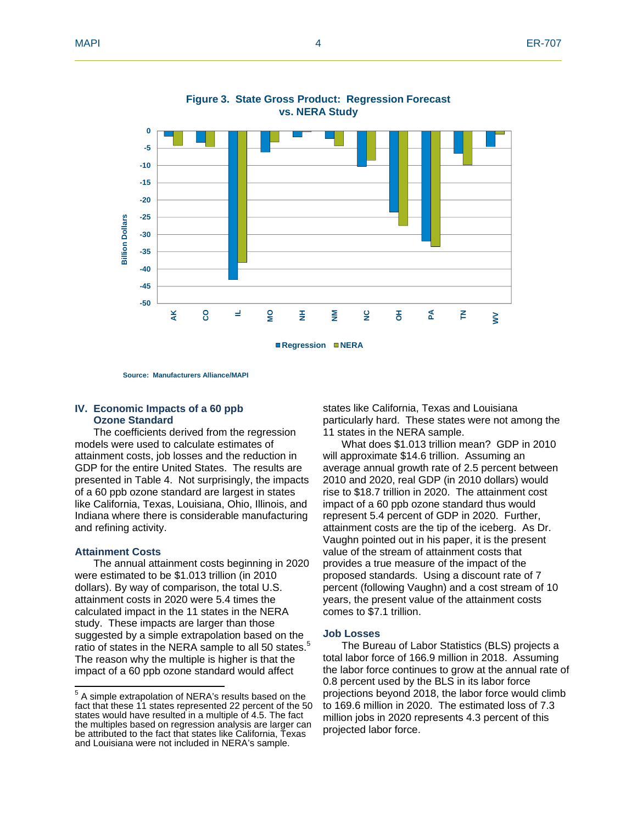

#### **Figure 3. State Gross Product: Regression Forecast vs. NERA Study**

**Source: Manufacturers Alliance/MAPI**

#### **IV. Economic Impacts of a 60 ppb Ozone Standard**

The coefficients derived from the regression models were used to calculate estimates of attainment costs, job losses and the reduction in GDP for the entire United States. The results are presented in Table 4. Not surprisingly, the impacts of a 60 ppb ozone standard are largest in states like California, Texas, Louisiana, Ohio, Illinois, and Indiana where there is considerable manufacturing and refining activity.

#### **Attainment Costs**

The annual attainment costs beginning in 2020 were estimated to be \$1.013 trillion (in 2010 dollars). By way of comparison, the total U.S. attainment costs in 2020 were 5.4 times the calculated impact in the 11 states in the NERA study. These impacts are larger than those suggested by a simple extrapolation based on the ratio of states in the NERA sample to all 50 states. $5$ The reason why the multiple is higher is that the impact of a 60 ppb ozone standard would affect

states like California, Texas and Louisiana particularly hard. These states were not among the 11 states in the NERA sample.

What does \$1.013 trillion mean? GDP in 2010 will approximate \$14.6 trillion. Assuming an average annual growth rate of 2.5 percent between 2010 and 2020, real GDP (in 2010 dollars) would rise to \$18.7 trillion in 2020. The attainment cost impact of a 60 ppb ozone standard thus would represent 5.4 percent of GDP in 2020. Further, attainment costs are the tip of the iceberg. As Dr. Vaughn pointed out in his paper, it is the present value of the stream of attainment costs that provides a true measure of the impact of the proposed standards. Using a discount rate of 7 percent (following Vaughn) and a cost stream of 10 years, the present value of the attainment costs comes to \$7.1 trillion.

#### **Job Losses**

The Bureau of Labor Statistics (BLS) projects a total labor force of 166.9 million in 2018. Assuming the labor force continues to grow at the annual rate of 0.8 percent used by the BLS in its labor force projections beyond 2018, the labor force would climb to 169.6 million in 2020. The estimated loss of 7.3 million jobs in 2020 represents 4.3 percent of this projected labor force.

 5 A simple extrapolation of NERA's results based on the fact that these 11 states represented 22 percent of the 50 states would have resulted in a multiple of 4.5. The fact the multiples based on regression analysis are larger can be attributed to the fact that states like California, Texas and Louisiana were not included in NERA's sample.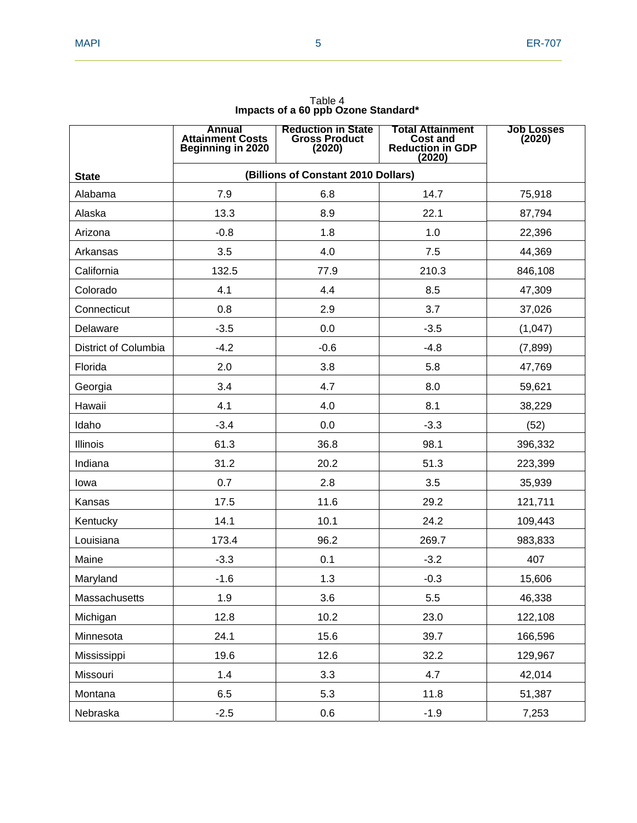|                      | <b>Annual</b><br><b>Attainment Costs</b><br><b>Beginning in 2020</b> | <b>Reduction in State</b><br><b>Gross Product</b><br>(2020) | <b>Total Attainment</b><br><b>Cost and</b><br><b>Reduction in GDP</b><br>(2020) | <b>Job Losses</b><br>(2020) |
|----------------------|----------------------------------------------------------------------|-------------------------------------------------------------|---------------------------------------------------------------------------------|-----------------------------|
| <b>State</b>         | (Billions of Constant 2010 Dollars)                                  |                                                             |                                                                                 |                             |
| Alabama              | 7.9                                                                  | 6.8                                                         | 14.7                                                                            | 75,918                      |
| Alaska               | 13.3                                                                 | 8.9                                                         | 22.1                                                                            | 87,794                      |
| Arizona              | $-0.8$                                                               | 1.8                                                         | 1.0                                                                             | 22,396                      |
| Arkansas             | 3.5                                                                  | 4.0                                                         | 7.5                                                                             | 44,369                      |
| California           | 132.5                                                                | 77.9                                                        | 210.3                                                                           | 846,108                     |
| Colorado             | 4.1                                                                  | 4.4                                                         | 8.5                                                                             | 47,309                      |
| Connecticut          | 0.8                                                                  | 2.9                                                         | 3.7                                                                             | 37,026                      |
| Delaware             | $-3.5$                                                               | 0.0                                                         | $-3.5$                                                                          | (1,047)                     |
| District of Columbia | $-4.2$                                                               | $-0.6$                                                      | $-4.8$                                                                          | (7,899)                     |
| Florida              | 2.0                                                                  | 3.8                                                         | 5.8                                                                             | 47,769                      |
| Georgia              | 3.4                                                                  | 4.7                                                         | 8.0                                                                             | 59,621                      |
| Hawaii               | 4.1                                                                  | 4.0                                                         | 8.1                                                                             | 38,229                      |
| Idaho                | $-3.4$                                                               | 0.0                                                         | $-3.3$                                                                          | (52)                        |
| Illinois             | 61.3                                                                 | 36.8                                                        | 98.1                                                                            | 396,332                     |
| Indiana              | 31.2                                                                 | 20.2                                                        | 51.3                                                                            | 223,399                     |
| lowa                 | 0.7                                                                  | 2.8                                                         | 3.5                                                                             | 35,939                      |
| Kansas               | 17.5                                                                 | 11.6                                                        | 29.2                                                                            | 121,711                     |
| Kentucky             | 14.1                                                                 | 10.1                                                        | 24.2                                                                            | 109,443                     |
| Louisiana            | 173.4                                                                | 96.2                                                        | 269.7                                                                           | 983,833                     |
| Maine                | $-3.3$                                                               | 0.1                                                         | $-3.2$                                                                          | 407                         |
| Maryland             | $-1.6$                                                               | 1.3                                                         | $-0.3$                                                                          | 15,606                      |
| Massachusetts        | 1.9                                                                  | 3.6                                                         | 5.5                                                                             | 46,338                      |
| Michigan             | 12.8                                                                 | 10.2                                                        | 23.0                                                                            | 122,108                     |
| Minnesota            | 24.1                                                                 | 15.6                                                        | 39.7                                                                            | 166,596                     |
| Mississippi          | 19.6                                                                 | 12.6                                                        | 32.2                                                                            | 129,967                     |
| Missouri             | 1.4                                                                  | 3.3                                                         | 4.7                                                                             | 42,014                      |
| Montana              | 6.5                                                                  | 5.3                                                         | 11.8                                                                            | 51,387                      |
| Nebraska             | $-2.5$                                                               | 0.6                                                         | $-1.9$                                                                          | 7,253                       |

Table 4 **Impacts of a 60 ppb Ozone Standard\***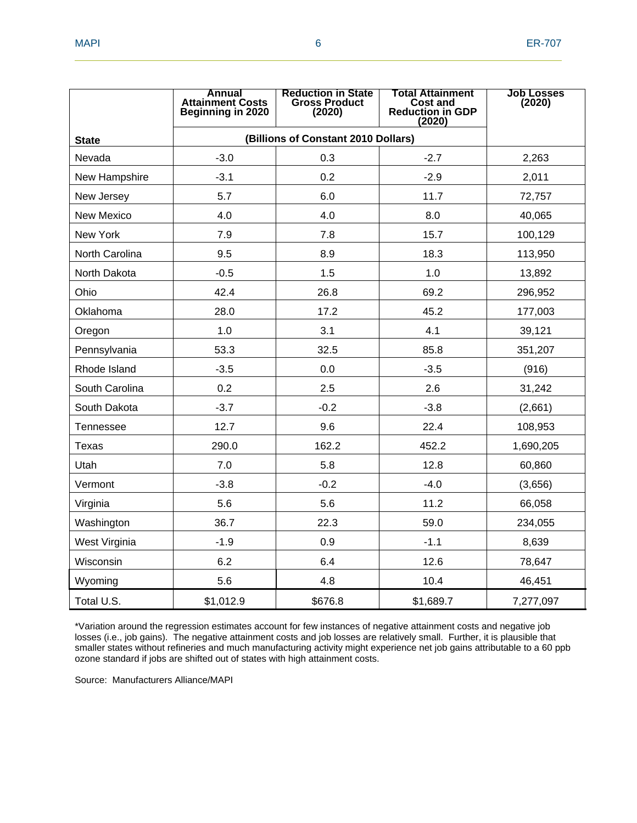|                   | Annual<br><b>Attainment Costs</b><br><b>Beginning in 2020</b> | <b>Reduction in State</b><br><b>Gross Product</b><br>(2020) | Total Attainment<br><b>Cost and</b><br><b>Reduction in GDP</b><br>(2020) | <b>Job Losses</b><br>(2020) |
|-------------------|---------------------------------------------------------------|-------------------------------------------------------------|--------------------------------------------------------------------------|-----------------------------|
| <b>State</b>      | (Billions of Constant 2010 Dollars)                           |                                                             |                                                                          |                             |
| Nevada            | $-3.0$                                                        | 0.3                                                         | $-2.7$                                                                   | 2,263                       |
| New Hampshire     | $-3.1$                                                        | 0.2                                                         | $-2.9$                                                                   | 2,011                       |
| New Jersey        | 5.7                                                           | 6.0                                                         | 11.7                                                                     | 72,757                      |
| <b>New Mexico</b> | 4.0                                                           | 4.0                                                         | 8.0                                                                      | 40,065                      |
| New York          | 7.9                                                           | 7.8                                                         | 15.7                                                                     | 100,129                     |
| North Carolina    | 9.5                                                           | 8.9                                                         | 18.3                                                                     | 113,950                     |
| North Dakota      | $-0.5$                                                        | 1.5                                                         | 1.0                                                                      | 13,892                      |
| Ohio              | 42.4                                                          | 26.8                                                        | 69.2                                                                     | 296,952                     |
| Oklahoma          | 28.0                                                          | 17.2                                                        | 45.2                                                                     | 177,003                     |
| Oregon            | 1.0                                                           | 3.1                                                         | 4.1                                                                      | 39,121                      |
| Pennsylvania      | 53.3                                                          | 32.5                                                        | 85.8                                                                     | 351,207                     |
| Rhode Island      | $-3.5$                                                        | 0.0                                                         | $-3.5$                                                                   | (916)                       |
| South Carolina    | 0.2                                                           | 2.5                                                         | 2.6                                                                      | 31,242                      |
| South Dakota      | $-3.7$                                                        | $-0.2$                                                      | $-3.8$                                                                   | (2,661)                     |
| <b>Tennessee</b>  | 12.7                                                          | 9.6                                                         | 22.4                                                                     | 108,953                     |
| Texas             | 290.0                                                         | 162.2                                                       | 452.2                                                                    | 1,690,205                   |
| Utah              | 7.0                                                           | 5.8                                                         | 12.8                                                                     | 60,860                      |
| Vermont           | $-3.8$                                                        | $-0.2$                                                      | $-4.0$                                                                   | (3,656)                     |
| Virginia          | 5.6                                                           | 5.6                                                         | 11.2                                                                     | 66,058                      |
| Washington        | 36.7                                                          | 22.3                                                        | 59.0                                                                     | 234,055                     |
| West Virginia     | $-1.9$                                                        | 0.9                                                         | $-1.1$                                                                   | 8,639                       |
| Wisconsin         | 6.2                                                           | 6.4                                                         | 12.6                                                                     | 78,647                      |
| Wyoming           | 5.6                                                           | 4.8                                                         | 10.4                                                                     | 46,451                      |
| Total U.S.        | \$1,012.9                                                     | \$676.8                                                     | \$1,689.7                                                                | 7,277,097                   |

\*Variation around the regression estimates account for few instances of negative attainment costs and negative job losses (i.e., job gains). The negative attainment costs and job losses are relatively small. Further, it is plausible that smaller states without refineries and much manufacturing activity might experience net job gains attributable to a 60 ppb ozone standard if jobs are shifted out of states with high attainment costs.

Source: Manufacturers Alliance/MAPI